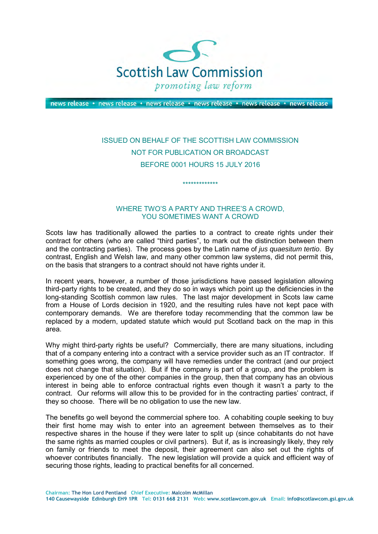

news release • news release • news release • news release • news release • news release

## ISSUED ON BEHALF OF THE SCOTTISH LAW COMMISSION NOT FOR PUBLICATION OR BROADCAST BEFORE 0001 HOURS 15 JULY 2016

\*\*\*\*\*\*\*\*\*\*\*\*\*

## WHERE TWO'S A PARTY AND THREE'S A CROWD, YOU SOMETIMES WANT A CROWD

Scots law has traditionally allowed the parties to a contract to create rights under their contract for others (who are called "third parties", to mark out the distinction between them and the contracting parties). The process goes by the Latin name of *jus quaesitum tertio*. By contrast, English and Welsh law, and many other common law systems, did not permit this, on the basis that strangers to a contract should not have rights under it.

In recent years, however, a number of those jurisdictions have passed legislation allowing third-party rights to be created, and they do so in ways which point up the deficiencies in the long-standing Scottish common law rules. The last major development in Scots law came from a House of Lords decision in 1920, and the resulting rules have not kept pace with contemporary demands. We are therefore today recommending that the common law be replaced by a modern, updated statute which would put Scotland back on the map in this area.

Why might third-party rights be useful? Commercially, there are many situations, including that of a company entering into a contract with a service provider such as an IT contractor. If something goes wrong, the company will have remedies under the contract (and our project does not change that situation). But if the company is part of a group, and the problem is experienced by one of the other companies in the group, then that company has an obvious interest in being able to enforce contractual rights even though it wasn't a party to the contract. Our reforms will allow this to be provided for in the contracting parties' contract, if they so choose. There will be no obligation to use the new law.

The benefits go well beyond the commercial sphere too. A cohabiting couple seeking to buy their first home may wish to enter into an agreement between themselves as to their respective shares in the house if they were later to split up (since cohabitants do not have the same rights as married couples or civil partners). But if, as is increasingly likely, they rely on family or friends to meet the deposit, their agreement can also set out the rights of whoever contributes financially. The new legislation will provide a quick and efficient way of securing those rights, leading to practical benefits for all concerned.

**Chairman: The Hon Lord Pentland Chief Executive: Malcolm McMillan**

**140 Causewayside Edinburgh EH9 1PR Tel: 0131 668 2131 Web: www.scotlawcom.gov.uk Email: info@scotlawcom.gsi.gov.uk**